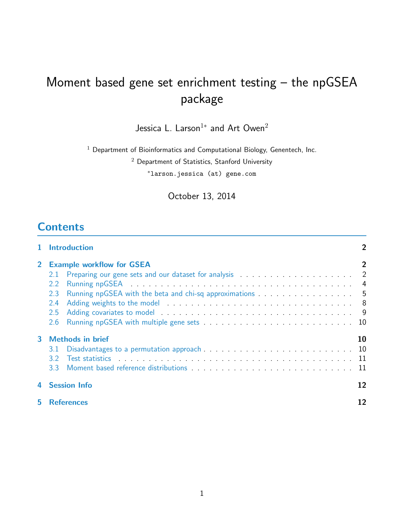# Moment based gene set enrichment testing – the npGSEA package

Jessica L.  $\sf{Larson^{1*}}$  and Art  $\sf{Owen}^2$ 

 $1$  Department of Bioinformatics and Computational Biology, Genentech, Inc.

<sup>2</sup> Department of Statistics, Stanford University

<sup>∗</sup>larson.jessica (at) gene.com

October 13, 2014

# **Contents**

|                | <b>Introduction</b>                                                                                                                                                                                                                                                                                                                                                                        | 2  |
|----------------|--------------------------------------------------------------------------------------------------------------------------------------------------------------------------------------------------------------------------------------------------------------------------------------------------------------------------------------------------------------------------------------------|----|
| 2 <sup>1</sup> | <b>Example workflow for GSEA</b><br>2.1<br>2.2<br>Running npGSEA with the beta and chi-sq approximations 5<br>2.3<br>2.4<br>2.5<br>2.6                                                                                                                                                                                                                                                     | 2  |
| 3              | <b>Methods in brief</b><br>3.1<br>Test statistics in the contract of the contract of the contract of the contract of the contract of the contract of the contract of the contract of the contract of the contract of the contract of the contract of the contrac<br>3.2<br>Moment based reference distributions [10] Moment based reference distributions [10] Moment December 2014<br>3.3 | 10 |
|                | <b>Session Info</b>                                                                                                                                                                                                                                                                                                                                                                        | 12 |
| 5              | <b>References</b>                                                                                                                                                                                                                                                                                                                                                                          | 12 |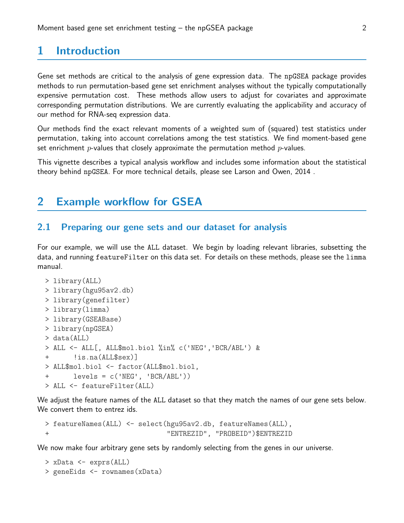# <span id="page-1-0"></span>1 Introduction

Gene set methods are critical to the analysis of gene expression data. The npGSEA package provides methods to run permutation-based gene set enrichment analyses without the typically computationally expensive permutation cost. These methods allow users to adjust for covariates and approximate corresponding permutation distributions. We are currently evaluating the applicability and accuracy of our method for RNA-seq expression data.

Our methods find the exact relevant moments of a weighted sum of (squared) test statistics under permutation, taking into account correlations among the test statistics. We find moment-based gene set enrichment  $p$ -values that closely approximate the permutation method  $p$ -values.

This vignette describes a typical analysis workflow and includes some information about the statistical theory behind npGSEA. For more technical details, please see Larson and Owen, 2014 .

# <span id="page-1-1"></span>2 Example workflow for GSEA

#### <span id="page-1-2"></span>2.1 Preparing our gene sets and our dataset for analysis

For our example, we will use the ALL dataset. We begin by loading relevant libraries, subsetting the data, and running featureFilter on this data set. For details on these methods, please see the limma manual.

```
> library(ALL)
> library(hgu95av2.db)
> library(genefilter)
> library(limma)
> library(GSEABase)
> library(npGSEA)
> data(ALL)
> ALL <- ALL[, ALL$mol.biol %in% c('NEG','BCR/ABL') &
+ !is.na(ALL$sex)]
> ALL$mol.biol <- factor(ALL$mol.biol,
+ levels = c('NEG', 'BCR/ABL'))
> ALL <- featureFilter(ALL)
```
We adjust the feature names of the ALL dataset so that they match the names of our gene sets below. We convert them to entrez ids.

```
> featureNames(ALL) <- select(hgu95av2.db, featureNames(ALL),
+ "ENTREZID", "PROBEID")$ENTREZID
```
We now make four arbitrary gene sets by randomly selecting from the genes in our universe.

```
> xData <- exprs(ALL)
> geneEids <- rownames(xData)
```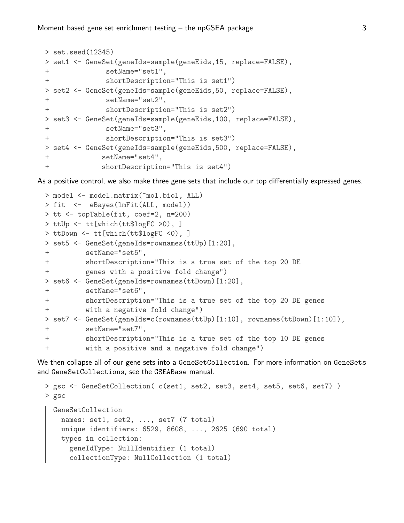```
> set.seed(12345)
> set1 <- GeneSet(geneIds=sample(geneEids,15, replace=FALSE),
+ setName="set1",
+ shortDescription="This is set1")
> set2 <- GeneSet(geneIds=sample(geneEids,50, replace=FALSE),
+ setName="set2",
+ shortDescription="This is set2")
> set3 <- GeneSet(geneIds=sample(geneEids,100, replace=FALSE),
+ setName="set3",
+ shortDescription="This is set3")
> set4 <- GeneSet(geneIds=sample(geneEids,500, replace=FALSE),
+ setName="set4",
+ shortDescription="This is set4")
```
As a positive control, we also make three gene sets that include our top differentially expressed genes.

```
> model <- model.matrix(~mol.biol, ALL)
> fit <- eBayes(lmFit(ALL, model))
> tt <- topTable(fit, coef=2, n=200)
> ttUp <- tt[which(tt$logFC >0), ]
> ttDown <- tt[which(tt$logFC <0), ]
> set5 <- GeneSet(geneIds=rownames(ttUp)[1:20],
+ setName="set5",
+ shortDescription="This is a true set of the top 20 DE
+ genes with a positive fold change")
> set6 <- GeneSet(geneIds=rownames(ttDown)[1:20],
+ setName="set6",
+ shortDescription="This is a true set of the top 20 DE genes
+ with a negative fold change")
> set7 <- GeneSet(geneIds=c(rownames(ttUp)[1:10], rownames(ttDown)[1:10]),
+ setName="set7",
+ shortDescription="This is a true set of the top 10 DE genes
         with a positive and a negative fold change")
```
We then collapse all of our gene sets into a GeneSetCollection. For more information on GeneSets and GeneSetCollections, see the GSEABase manual.

```
> gsc <- GeneSetCollection( c(set1, set2, set3, set4, set5, set6, set7) )
> gsc
 GeneSetCollection
   names: set1, set2, ..., set7 (7 total)
   unique identifiers: 6529, 8608, ..., 2625 (690 total)
   types in collection:
      geneIdType: NullIdentifier (1 total)
      collectionType: NullCollection (1 total)
```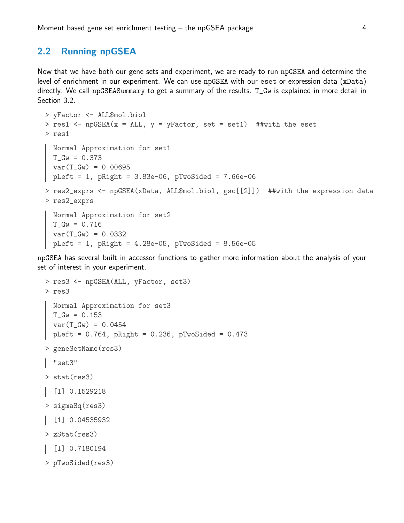## 2.2 Running npGSEA

Now that we have both our gene sets and experiment, we are ready to run npGSEA and determine the level of enrichment in our experiment. We can use npGSEA with our eset or expression data (xData) directly. We call npGSEASummary to get a summary of the results. T\_Gw is explained in more detail in Section 3.2.

```
> yFactor <- ALL$mol.biol
> res1 <- npGSEA(x = ALL, y = yFactor, set = set1) ##with the eset
> res1
 Normal Approximation for set1
 T_Gw = 0.373var(T_Gw) = 0.00695pLeft = 1, pRight = 3.83e-06, pTwoSide = 7.66e-06> res2_exprs <- npGSEA(xData, ALL$mol.biol, gsc[[2]]) ##with the expression data
> res2_exprs
 Normal Approximation for set2
 T_Gw = 0.716var(T_Gw) = 0.0332pLeft = 1, pRight = 4.28e-05, pTwoSide = 8.56e-05
```
npGSEA has several built in accessor functions to gather more information about the analysis of your set of interest in your experiment.

```
> res3 <- npGSEA(ALL, yFactor, set3)
> res3
  Normal Approximation for set3
  T_Gw = 0.153var(T_Gw) = 0.0454pLeft = 0.764, pRight = 0.236, pTwoSide = 0.473> geneSetName(res3)
  "set3"
> stat(res3)
\begin{bmatrix} 1 \end{bmatrix} 0.1529218
> sigmaSq(res3)
\begin{bmatrix} 1 \end{bmatrix} 0.04535932
> zStat(res3)
  [1] 0.7180194
> pTwoSided(res3)
```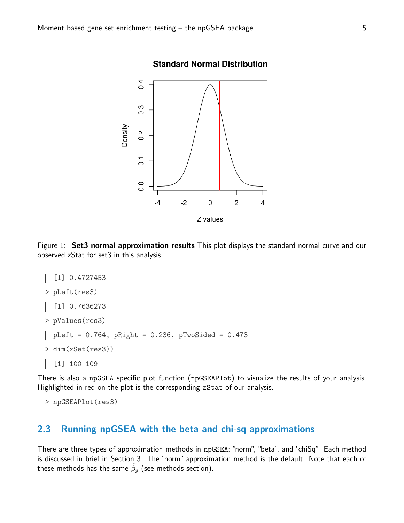

#### **Standard Normal Distribution**

Figure 1: Set3 normal approximation results This plot displays the standard normal curve and our observed zStat for set3 in this analysis.

```
[1] 0.4727453
> pLeft(res3)
  [1] 0.7636273
> pValues(res3)
 pLeft = 0.764, pRight = 0.236, pTwoSide = 0.473> dim(xSet(res3))
  [1] 100 109
```
There is also a npGSEA specific plot function (npGSEAPlot) to visualize the results of your analysis. Highlighted in red on the plot is the corresponding zStat of our analysis.

```
> npGSEAPlot(res3)
```
## <span id="page-4-0"></span>2.3 Running npGSEA with the beta and chi-sq approximations

There are three types of approximation methods in npGSEA: "norm", "beta", and "chiSq". Each method is discussed in brief in Section 3. The "norm" approximation method is the default. Note that each of these methods has the same  $\hat{\beta}_g$  (see methods section).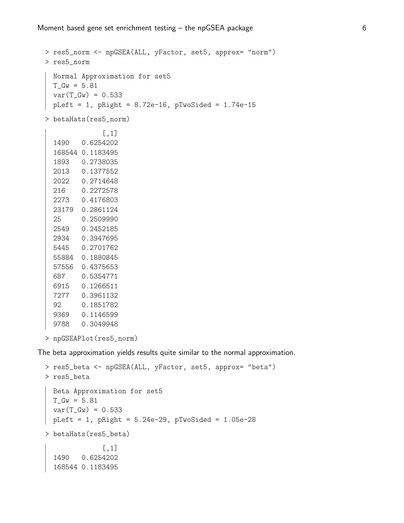```
> res5_norm <- npGSEA(ALL, yFactor, set5, approx= "norm")
 > res5_norm
   Normal Approximation for set5
   T_Gw = 5.81var(T_Gw) = 0.533pLeft = 1, pRight = 8.72e-16, pTwoSide = 1.74e-15> betaHats(res5_norm)
               [,1]
   1490 0.6254202
   168544 0.1183495
   1893 0.2738035
   2013 0.1377552
   2022 0.2714648
   216 0.2272578
   2273 0.4176803
   23179 0.2861124
   25 0.2509990
   2549 0.2452185
   2934 0.3947695
   5445 0.2701762
   55884 0.1880845
   57556 0.4375653
   687 0.5354771
   6915 0.1266511
   7277 0.3961132
   92 0.1851782
   9369 0.1146599
   9788 0.3049948
 > npGSEAPlot(res5_norm)
The beta approximation yields results quite similar to the normal approximation.
 > res5_beta <- npGSEA(ALL, yFactor, set5, approx= "beta")
 > res5_beta
   Beta Approximation for set5
   T_Gw = 5.81var(T_Gw) = 0.533pLeft = 1, pRight = 5.24e-29, pTwoSide = 1.05e-28> betaHats(res5_beta)
               [,1]
   1490 0.6254202
   168544 0.1183495
```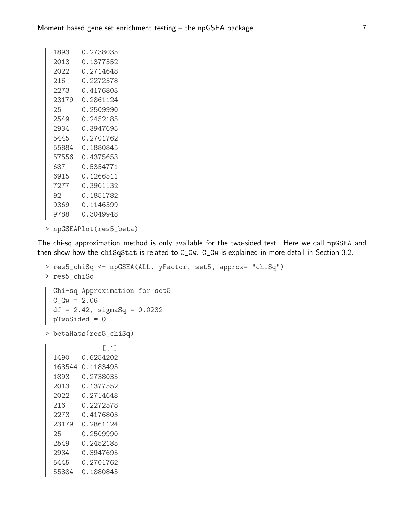| 1893  | 0.2738035 |
|-------|-----------|
| 2013  | 0.1377552 |
| 2022  | 0.2714648 |
| 216   | 0.2272578 |
| 2273  | 0.4176803 |
| 23179 | 0.2861124 |
| 25    | 0.2509990 |
| 2549  | 0.2452185 |
| 2934  | 0.3947695 |
| 5445  | 0.2701762 |
| 55884 | 0.1880845 |
| 57556 | 0.4375653 |
| 687   | 0.5354771 |
| 6915  | 0.1266511 |
| 72.77 | 0.3961132 |
| 92.   | 0.1851782 |
| 9369  | 0.1146599 |
| 9788  | 0.3049948 |
|       |           |

```
> npGSEAPlot(res5_beta)
```
The chi-sq approximation method is only available for the two-sided test. Here we call npGSEA and then show how the chiSqStat is related to C\_Gw. C\_Gw is explained in more detail in Section 3.2.

```
> res5_chiSq <- npGSEA(ALL, yFactor, set5, approx= "chiSq")
> res5_chiSq
 Chi-sq Approximation for set5
 C_Gw = 2.06df = 2.42, sigmaSq = 0.0232
 pTwoSided = 0
> betaHats(res5_chiSq)
             [,1]
 1490 0.6254202
  168544 0.1183495
 1893 0.2738035
 2013 0.1377552
 2022 0.2714648
 216 0.2272578
 2273 0.4176803
 23179 0.2861124
 25 0.2509990
 2549 0.2452185
 2934 0.3947695
 5445 0.2701762
 55884 0.1880845
```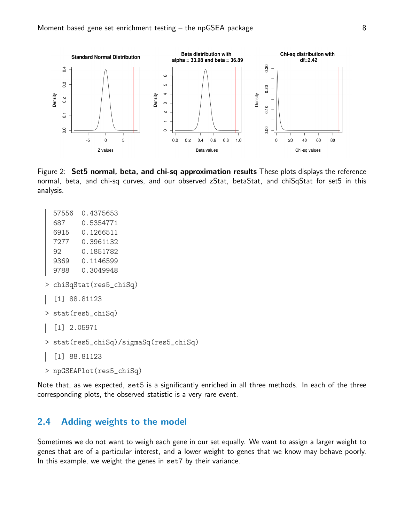

Figure 2: Set5 normal, beta, and chi-sq approximation results These plots displays the reference normal, beta, and chi-sq curves, and our observed zStat, betaStat, and chiSqStat for set5 in this analysis.

```
57556 0.4375653
  687 0.5354771
  6915 0.1266511
  7277 0.3961132
  92 0.1851782
  9369 0.1146599
  9788 0.3049948
> chiSqStat(res5_chiSq)
  [1] 88.81123
> stat(res5_chiSq)
  [1] 2.05971
> stat(res5_chiSq)/sigmaSq(res5_chiSq)
  [1] 88.81123
> npGSEAPlot(res5_chiSq)
```
Note that, as we expected, set5 is a significantly enriched in all three methods. In each of the three corresponding plots, the observed statistic is a very rare event.

## <span id="page-7-0"></span>2.4 Adding weights to the model

Sometimes we do not want to weigh each gene in our set equally. We want to assign a larger weight to genes that are of a particular interest, and a lower weight to genes that we know may behave poorly. In this example, we weight the genes in set7 by their variance.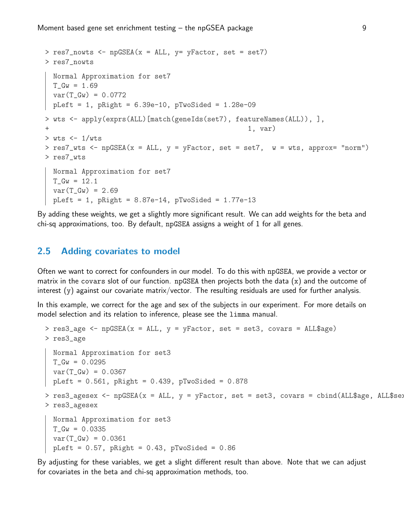```
> res7_nowts <- npGSEA(x = ALL, y= yFactor, set = set7)
> res7_nowts
 Normal Approximation for set7
 T_Gw = 1.69var(T_Gw) = 0.0772pLeft = 1, pRight = 6.39e-10, pTwoSide = 1.28e-09> wts <- apply(exprs(ALL)[match(geneIds(set7), featureNames(ALL)), ],
+ 1, var)
> wts <-1/wts> res7_wts <- npGSEA(x = ALL, y = yFactor, set = set7, w = wts, approx= "norm")
> res7_wts
 Normal Approximation for set7
 T_Gw = 12.1var(T_Gw) = 2.69pLeft = 1, pRight = 8.87e-14, pTwoSide = 1.77e-13
```
By adding these weights, we get a slightly more significant result. We can add weights for the beta and chi-sq approximations, too. By default, npGSEA assigns a weight of 1 for all genes.

## <span id="page-8-0"></span>2.5 Adding covariates to model

Often we want to correct for confounders in our model. To do this with npGSEA, we provide a vector or matrix in the covars slot of our function. npGSEA then projects both the data (x) and the outcome of interest (y) against our covariate matrix/vector. The resulting residuals are used for further analysis.

In this example, we correct for the age and sex of the subjects in our experiment. For more details on model selection and its relation to inference, please see the limma manual.

```
> res3_age <- npGSEA(x = ALL, y = yFactor, set = set3, covars = ALL$age)
> res3_age
 Normal Approximation for set3
 T_Gw = 0.0295var(T_Gw) = 0.0367pLeft = 0.561, pRight = 0.439, pTwoSided = 0.878
> res3_agesex <- npGSEA(x = ALL, y = yFactor, set = set3, covars = cbind(ALL$age, ALL$sex
> res3_agesex
 Normal Approximation for set3
 T_Gw = 0.0335var(T_Gw) = 0.0361pLeft = 0.57, pRight = 0.43, pTwoSide = 0.86
```
By adjusting for these variables, we get a slight different result than above. Note that we can adjust for covariates in the beta and chi-sq approximation methods, too.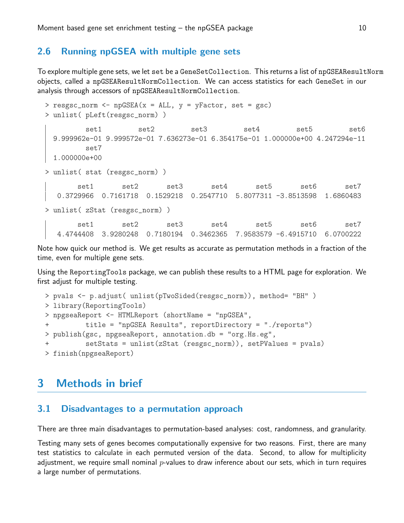#### <span id="page-9-0"></span>2.6 Running npGSEA with multiple gene sets

To explore multiple gene sets, we let set be a GeneSetCollection. This returns a list of npGSEAResultNorm objects, called a npGSEAResultNormCollection. We can access statistics for each GeneSet in our analysis through accessors of npGSEAResultNormCollection.

```
> resgsc_norm <- npGSEA(x = ALL, y = yFactor, set = gsc)
> unlist( pLeft(resgsc_norm) )
        set1 set2 set3 set4 set5 set6
 9.999962e-01 9.999572e-01 7.636273e-01 6.354175e-01 1.000000e+00 4.247294e-11
        set7
 1.000000e+00
> unlist( stat (resgsc_norm) )
      set1 set2 set3 set4 set5 set6 set7
  0.3729966 0.7161718 0.1529218 0.2547710 5.8077311 -3.8513598 1.6860483
> unlist( zStat (resgsc_norm) )
      set1 set2 set3 set4 set5 set6 set7
  4.4744408 3.9280248 0.7180194 0.3462365 7.9583579 -6.4915710 6.0700222
```
Note how quick our method is. We get results as accurate as permutation methods in a fraction of the time, even for multiple gene sets.

Using the ReportingTools package, we can publish these results to a HTML page for exploration. We first adjust for multiple testing.

```
> pvals <- p.adjust( unlist(pTwoSided(resgsc_norm)), method= "BH" )
> library(ReportingTools)
> npgseaReport <- HTMLReport (shortName = "npGSEA",
+ title = "npGSEA Results", reportDirectory = "./reports")
> publish(gsc, npgseaReport, annotation.db = "org.Hs.eg",
         setStats = unlist(zStat (resgsc_norm)), setPValues = pvals)
> finish(npgseaReport)
```
# <span id="page-9-1"></span>3 Methods in brief

#### <span id="page-9-2"></span>3.1 Disadvantages to a permutation approach

There are three main disadvantages to permutation-based analyses: cost, randomness, and granularity.

Testing many sets of genes becomes computationally expensive for two reasons. First, there are many test statistics to calculate in each permuted version of the data. Second, to allow for multiplicity adjustment, we require small nominal  $p$ -values to draw inference about our sets, which in turn requires a large number of permutations.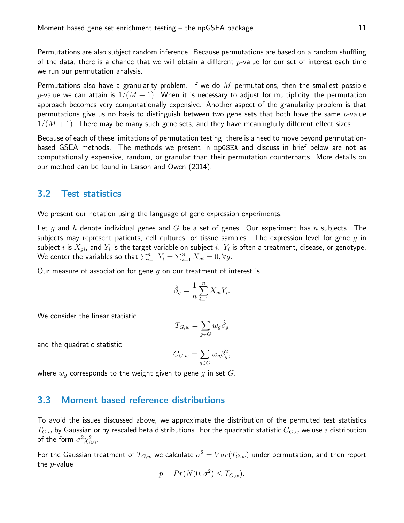Permutations are also subject random inference. Because permutations are based on a random shuffling of the data, there is a chance that we will obtain a different  $p$ -value for our set of interest each time we run our permutation analysis.

Permutations also have a granularity problem. If we do  $M$  permutations, then the smallest possible p-value we can attain is  $1/(M + 1)$ . When it is necessary to adjust for multiplicity, the permutation approach becomes very computationally expensive. Another aspect of the granularity problem is that permutations give us no basis to distinguish between two gene sets that both have the same  $p$ -value  $1/(M+1)$ . There may be many such gene sets, and they have meaningfully different effect sizes.

Because of each of these limitations of permutation testing, there is a need to move beyond permutationbased GSEA methods. The methods we present in npGSEA and discuss in brief below are not as computationally expensive, random, or granular than their permutation counterparts. More details on our method can be found in Larson and Owen (2014).

#### <span id="page-10-0"></span>3.2 Test statistics

We present our notation using the language of gene expression experiments.

Let g and h denote individual genes and G be a set of genes. Our experiment has n subjects. The subjects may represent patients, cell cultures, or tissue samples. The expression level for gene  $q$  in subject  $i$  is  $X_{gi}$ , and  $Y_i$  is the target variable on subject  $i. \; Y_i$  is often a treatment, disease, or genotype. We center the variables so that  $\sum_{i=1}^n Y_i = \sum_{i=1}^n X_{gi} = 0, \forall g.$ 

Our measure of association for gene  $g$  on our treatment of interest is

$$
\hat{\beta}_g = \frac{1}{n} \sum_{i=1}^n X_{gi} Y_i.
$$

We consider the linear statistic

$$
T_{G,w} = \sum_{g \in G} w_g \hat{\beta}_g
$$

and the quadratic statistic

$$
C_{G,w} = \sum_{g \in G} w_g \hat{\beta}_g^2,
$$

where  $w_g$  corresponds to the weight given to gene g in set  $G$ .

#### <span id="page-10-1"></span>3.3 Moment based reference distributions

To avoid the issues discussed above, we approximate the distribution of the permuted test statistics  $T_{G,w}$  by Gaussian or by rescaled beta distributions. For the quadratic statistic  $C_{G,w}$  we use a distribution of the form  $\sigma^2 \chi^2_{(\nu)}$ .

For the Gaussian treatment of  $T_{G,w}$  we calculate  $\sigma^2=Var(T_{G,w})$  under permutation, and then report the  $p$ -value

$$
p = Pr(N(0, \sigma^2) \le T_{G,w}).
$$